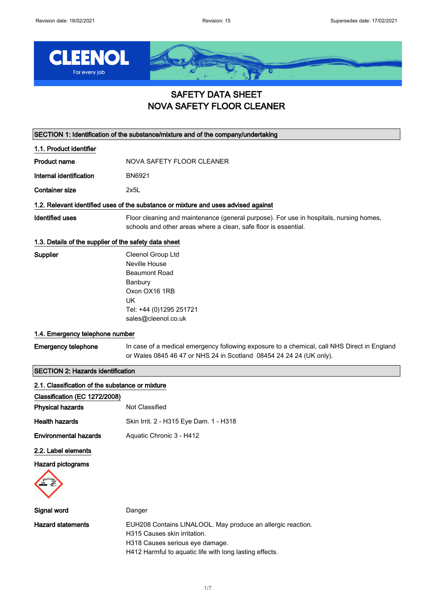

## SAFETY DATA SHEET NOVA SAFETY FLOOR CLEANER

SECTION 1: Identification of the substance/mixture and of the company/undertaking

| 1.1. Product identifier |                           |
|-------------------------|---------------------------|
| Product name            | NOVA SAFETY FLOOR CLEANER |
| Internal identification | BN6921                    |
| Container size          | 2x51                      |
|                         |                           |

### 1.2. Relevant identified uses of the substance or mixture and uses advised against

Identified uses Floor cleaning and maintenance (general purpose). For use in hospitals, nursing homes, schools and other areas where a clean, safe floor is essential.

#### 1.3. Details of the supplier of the safety data sheet

| Supplier | Cleenol Group Ltd                              |
|----------|------------------------------------------------|
|          | Neville House                                  |
|          | Beaumont Road                                  |
|          | Banbury                                        |
|          | Oxon OX16 1RB                                  |
|          | UK                                             |
|          | Tel: +44 (0)1295 251721<br>sales@cleenol.co.uk |
|          |                                                |

#### 1.4. Emergency telephone number

Emergency telephone In case of a medical emergency following exposure to a chemical, call NHS Direct in England or Wales 0845 46 47 or NHS 24 in Scotland 08454 24 24 24 (UK only).

### SECTION 2: Hazards identification

| 2.1. Classification of the substance or mixture |                                                                                                                                                                                           |
|-------------------------------------------------|-------------------------------------------------------------------------------------------------------------------------------------------------------------------------------------------|
| Classification (EC 1272/2008)                   |                                                                                                                                                                                           |
| <b>Physical hazards</b>                         | Not Classified                                                                                                                                                                            |
| <b>Health hazards</b>                           | Skin Irrit. 2 - H315 Eye Dam. 1 - H318                                                                                                                                                    |
| <b>Environmental hazards</b>                    | Aquatic Chronic 3 - H412                                                                                                                                                                  |
| 2.2. Label elements                             |                                                                                                                                                                                           |
| Hazard pictograms                               |                                                                                                                                                                                           |
| Signal word                                     | Danger                                                                                                                                                                                    |
| <b>Hazard statements</b>                        | EUH208 Contains LINALOOL. May produce an allergic reaction.<br>H315 Causes skin irritation.<br>H318 Causes serious eye damage.<br>H412 Harmful to aquatic life with long lasting effects. |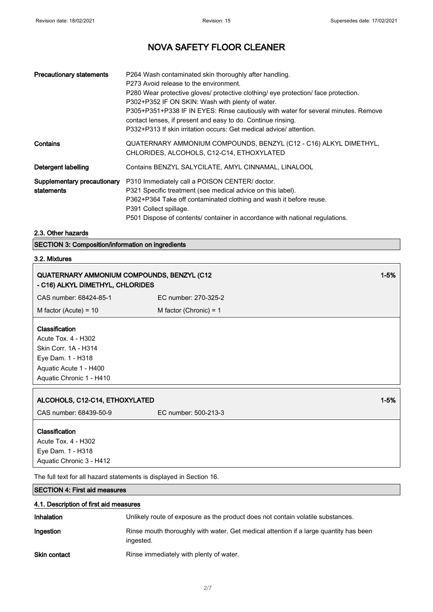| <b>Precautionary statements</b>           | P264 Wash contaminated skin thoroughly after handling.<br>P273 Avoid release to the environment.<br>P280 Wear protective gloves/ protective clothing/ eye protection/ face protection.<br>P302+P352 IF ON SKIN: Wash with plenty of water.<br>P305+P351+P338 IF IN EYES: Rinse cautiously with water for several minutes. Remove<br>contact lenses, if present and easy to do. Continue rinsing.<br>P332+P313 If skin irritation occurs: Get medical advice/ attention. |
|-------------------------------------------|-------------------------------------------------------------------------------------------------------------------------------------------------------------------------------------------------------------------------------------------------------------------------------------------------------------------------------------------------------------------------------------------------------------------------------------------------------------------------|
| Contains                                  | QUATERNARY AMMONIUM COMPOUNDS, BENZYL (C12 - C16) ALKYL DIMETHYL,<br>CHLORIDES, ALCOHOLS, C12-C14, ETHOXYLATED                                                                                                                                                                                                                                                                                                                                                          |
| Detergent labelling                       | Contains BENZYL SALYCILATE, AMYL CINNAMAL, LINALOOL                                                                                                                                                                                                                                                                                                                                                                                                                     |
| Supplementary precautionary<br>statements | P310 Immediately call a POISON CENTER/ doctor.<br>P321 Specific treatment (see medical advice on this label).<br>P362+P364 Take off contaminated clothing and wash it before reuse.<br>P391 Collect spillage.<br>P501 Dispose of contents/ container in accordance with national regulations.                                                                                                                                                                           |

### 2.3. Other hazards

SECTION 3: Composition/information on ingredients

### 3.2. Mixtures

| QUATERNARY AMMONIUM COMPOUNDS, BENZYL (C12<br>- C16) ALKYL DIMETHYL, CHLORIDES                                                                  |                          | $1 - 5%$ |
|-------------------------------------------------------------------------------------------------------------------------------------------------|--------------------------|----------|
| CAS number: 68424-85-1                                                                                                                          | EC number: 270-325-2     |          |
| M factor (Acute) = $10$                                                                                                                         | M factor (Chronic) = $1$ |          |
| <b>Classification</b><br>Acute Tox. 4 - H302<br>Skin Corr. 1A - H314<br>Eye Dam. 1 - H318<br>Aquatic Acute 1 - H400<br>Aquatic Chronic 1 - H410 |                          |          |
| ALCOHOLS, C12-C14, ETHOXYLATED                                                                                                                  |                          | $1 - 5%$ |
| CAS number: 68439-50-9                                                                                                                          | EC number: 500-213-3     |          |
| Classification<br>Acute Tox. 4 - H302<br>Eye Dam. 1 - H318<br>Aquatic Chronic 3 - H412                                                          |                          |          |

The full text for all hazard statements is displayed in Section 16.

### SECTION 4: First aid measures

| 4.1. Description of first aid measures |                                                                                                    |
|----------------------------------------|----------------------------------------------------------------------------------------------------|
| Inhalation                             | Unlikely route of exposure as the product does not contain volatile substances.                    |
| Ingestion                              | Rinse mouth thoroughly with water. Get medical attention if a large quantity has been<br>ingested. |
| <b>Skin contact</b>                    | Rinse immediately with plenty of water.                                                            |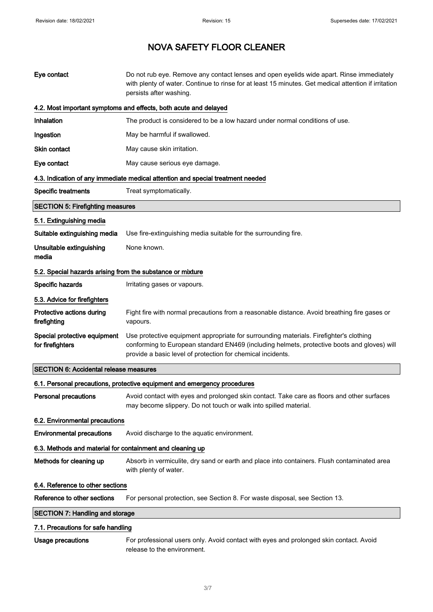| Eye contact                                                | Do not rub eye. Remove any contact lenses and open eyelids wide apart. Rinse immediately<br>with plenty of water. Continue to rinse for at least 15 minutes. Get medical attention if irritation<br>persists after washing.                          |  |
|------------------------------------------------------------|------------------------------------------------------------------------------------------------------------------------------------------------------------------------------------------------------------------------------------------------------|--|
|                                                            | 4.2. Most important symptoms and effects, both acute and delayed                                                                                                                                                                                     |  |
| Inhalation                                                 | The product is considered to be a low hazard under normal conditions of use.                                                                                                                                                                         |  |
| Ingestion                                                  | May be harmful if swallowed.                                                                                                                                                                                                                         |  |
| Skin contact                                               | May cause skin irritation.                                                                                                                                                                                                                           |  |
| Eye contact                                                | May cause serious eye damage.                                                                                                                                                                                                                        |  |
|                                                            | 4.3. Indication of any immediate medical attention and special treatment needed                                                                                                                                                                      |  |
| <b>Specific treatments</b>                                 | Treat symptomatically.                                                                                                                                                                                                                               |  |
| <b>SECTION 5: Firefighting measures</b>                    |                                                                                                                                                                                                                                                      |  |
| 5.1. Extinguishing media                                   |                                                                                                                                                                                                                                                      |  |
| Suitable extinguishing media                               | Use fire-extinguishing media suitable for the surrounding fire.                                                                                                                                                                                      |  |
| Unsuitable extinguishing<br>media                          | None known.                                                                                                                                                                                                                                          |  |
| 5.2. Special hazards arising from the substance or mixture |                                                                                                                                                                                                                                                      |  |
| Specific hazards                                           | Irritating gases or vapours.                                                                                                                                                                                                                         |  |
| 5.3. Advice for firefighters                               |                                                                                                                                                                                                                                                      |  |
| Protective actions during<br>firefighting                  | Fight fire with normal precautions from a reasonable distance. Avoid breathing fire gases or<br>vapours.                                                                                                                                             |  |
| Special protective equipment<br>for firefighters           | Use protective equipment appropriate for surrounding materials. Firefighter's clothing<br>conforming to European standard EN469 (including helmets, protective boots and gloves) will<br>provide a basic level of protection for chemical incidents. |  |
| <b>SECTION 6: Accidental release measures</b>              |                                                                                                                                                                                                                                                      |  |
|                                                            | 6.1. Personal precautions, protective equipment and emergency procedures                                                                                                                                                                             |  |
| <b>Personal precautions</b>                                | Avoid contact with eyes and prolonged skin contact. Take care as floors and other surfaces<br>may become slippery. Do not touch or walk into spilled material.                                                                                       |  |
| 6.2. Environmental precautions                             |                                                                                                                                                                                                                                                      |  |
| <b>Environmental precautions</b>                           | Avoid discharge to the aquatic environment.                                                                                                                                                                                                          |  |
| 6.3. Methods and material for containment and cleaning up  |                                                                                                                                                                                                                                                      |  |
| Methods for cleaning up                                    | Absorb in vermiculite, dry sand or earth and place into containers. Flush contaminated area<br>with plenty of water.                                                                                                                                 |  |
| 6.4. Reference to other sections                           |                                                                                                                                                                                                                                                      |  |
| Reference to other sections                                | For personal protection, see Section 8. For waste disposal, see Section 13.                                                                                                                                                                          |  |
| <b>SECTION 7: Handling and storage</b>                     |                                                                                                                                                                                                                                                      |  |
| 7.1. Precautions for safe handling                         |                                                                                                                                                                                                                                                      |  |
| Usage precautions                                          | For professional users only. Avoid contact with eyes and prolonged skin contact. Avoid<br>release to the environment.                                                                                                                                |  |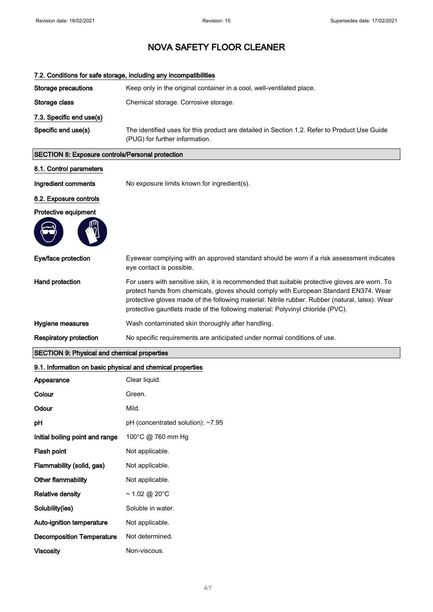|                                                            | 7.2. Conditions for safe storage, including any incompatibilities                                                                                                                                                                                                                                                                                                           |
|------------------------------------------------------------|-----------------------------------------------------------------------------------------------------------------------------------------------------------------------------------------------------------------------------------------------------------------------------------------------------------------------------------------------------------------------------|
| <b>Storage precautions</b>                                 | Keep only in the original container in a cool, well-ventilated place.                                                                                                                                                                                                                                                                                                       |
| Storage class                                              | Chemical storage. Corrosive storage.                                                                                                                                                                                                                                                                                                                                        |
| 7.3. Specific end use(s)                                   |                                                                                                                                                                                                                                                                                                                                                                             |
| Specific end use(s)                                        | The identified uses for this product are detailed in Section 1.2. Refer to Product Use Guide<br>(PUG) for further information.                                                                                                                                                                                                                                              |
| SECTION 8: Exposure controls/Personal protection           |                                                                                                                                                                                                                                                                                                                                                                             |
| 8.1. Control parameters                                    |                                                                                                                                                                                                                                                                                                                                                                             |
| Ingredient comments                                        | No exposure limits known for ingredient(s).                                                                                                                                                                                                                                                                                                                                 |
| 8.2. Exposure controls                                     |                                                                                                                                                                                                                                                                                                                                                                             |
| Protective equipment                                       |                                                                                                                                                                                                                                                                                                                                                                             |
|                                                            |                                                                                                                                                                                                                                                                                                                                                                             |
| Eye/face protection                                        | Eyewear complying with an approved standard should be worn if a risk assessment indicates<br>eye contact is possible.                                                                                                                                                                                                                                                       |
| Hand protection                                            | For users with sensitive skin, it is recommended that suitable protective gloves are worn. To<br>protect hands from chemicals, gloves should comply with European Standard EN374. Wear<br>protective gloves made of the following material: Nitrile rubber. Rubber (natural, latex). Wear<br>protective gauntlets made of the following material: Polyvinyl chloride (PVC). |
| Hygiene measures                                           | Wash contaminated skin thoroughly after handling.                                                                                                                                                                                                                                                                                                                           |
| <b>Respiratory protection</b>                              | No specific requirements are anticipated under normal conditions of use.                                                                                                                                                                                                                                                                                                    |
| <b>SECTION 9: Physical and chemical properties</b>         |                                                                                                                                                                                                                                                                                                                                                                             |
| 9.1. Information on basic physical and chemical properties |                                                                                                                                                                                                                                                                                                                                                                             |
| Appearance                                                 | Clear liquid.                                                                                                                                                                                                                                                                                                                                                               |
| Colour                                                     | Green.                                                                                                                                                                                                                                                                                                                                                                      |
|                                                            |                                                                                                                                                                                                                                                                                                                                                                             |

| Odour                            | Mild.                             |
|----------------------------------|-----------------------------------|
| рH                               | pH (concentrated solution): ~7.95 |
| Initial boiling point and range  | 100°C @ 760 mm Hg                 |
| Flash point                      | Not applicable.                   |
| Flammability (solid, gas)        | Not applicable.                   |
| Other flammability               | Not applicable.                   |
| <b>Relative density</b>          | ~1.02 @ 20°C                      |
| Solubility(ies)                  | Soluble in water.                 |
| Auto-ignition temperature        | Not applicable.                   |
| <b>Decomposition Temperature</b> | Not determined.                   |
| Viscositv                        | Non-viscous.                      |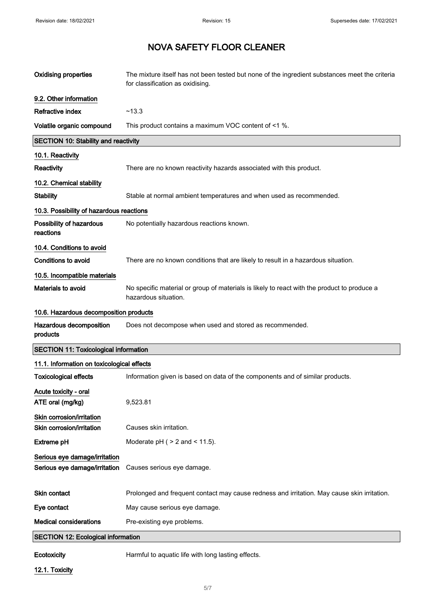| <b>Oxidising properties</b>                                    | The mixture itself has not been tested but none of the ingredient substances meet the criteria<br>for classification as oxidising. |
|----------------------------------------------------------------|------------------------------------------------------------------------------------------------------------------------------------|
| 9.2. Other information                                         |                                                                                                                                    |
| <b>Refractive index</b>                                        | ~13.3                                                                                                                              |
| Volatile organic compound                                      | This product contains a maximum VOC content of <1 %.                                                                               |
| <b>SECTION 10: Stability and reactivity</b>                    |                                                                                                                                    |
| 10.1. Reactivity                                               |                                                                                                                                    |
| Reactivity                                                     | There are no known reactivity hazards associated with this product.                                                                |
| 10.2. Chemical stability                                       |                                                                                                                                    |
| <b>Stability</b>                                               | Stable at normal ambient temperatures and when used as recommended.                                                                |
| 10.3. Possibility of hazardous reactions                       |                                                                                                                                    |
| Possibility of hazardous<br>reactions                          | No potentially hazardous reactions known.                                                                                          |
| 10.4. Conditions to avoid                                      |                                                                                                                                    |
| <b>Conditions to avoid</b>                                     | There are no known conditions that are likely to result in a hazardous situation.                                                  |
| 10.5. Incompatible materials                                   |                                                                                                                                    |
| Materials to avoid                                             | No specific material or group of materials is likely to react with the product to produce a<br>hazardous situation.                |
| 10.6. Hazardous decomposition products                         |                                                                                                                                    |
| Hazardous decomposition<br>products                            | Does not decompose when used and stored as recommended.                                                                            |
| <b>SECTION 11: Toxicological information</b>                   |                                                                                                                                    |
| 11.1. Information on toxicological effects                     |                                                                                                                                    |
| <b>Toxicological effects</b>                                   | Information given is based on data of the components and of similar products.                                                      |
| Acute toxicity - oral<br>ATE oral (mg/kg)                      | 9,523.81                                                                                                                           |
| Skin corrosion/irritation                                      |                                                                                                                                    |
| Skin corrosion/irritation                                      | Causes skin irritation.                                                                                                            |
| <b>Extreme pH</b>                                              | Moderate $pH$ ( $> 2$ and $< 11.5$ ).                                                                                              |
| Serious eye damage/irritation<br>Serious eye damage/irritation | Causes serious eye damage.                                                                                                         |
| <b>Skin contact</b>                                            | Prolonged and frequent contact may cause redness and irritation. May cause skin irritation.                                        |
| Eye contact                                                    | May cause serious eye damage.                                                                                                      |
| <b>Medical considerations</b>                                  | Pre-existing eye problems.                                                                                                         |
| <b>SECTION 12: Ecological information</b>                      |                                                                                                                                    |
|                                                                |                                                                                                                                    |

Ecotoxicity **Harmful to aquatic life with long lasting effects.** 

12.1. Toxicity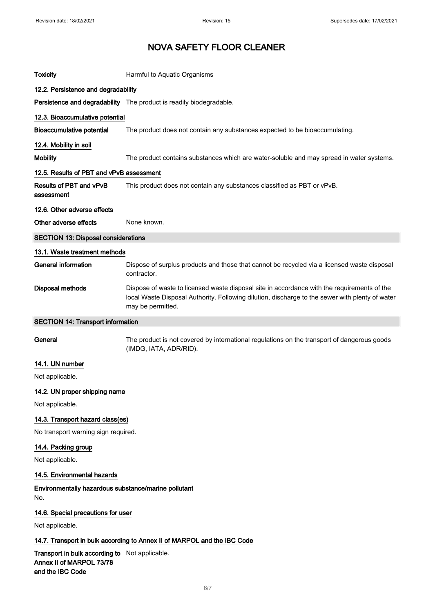| <b>Toxicity</b>                                             | Harmful to Aquatic Organisms                                                                                                                                                                                        |
|-------------------------------------------------------------|---------------------------------------------------------------------------------------------------------------------------------------------------------------------------------------------------------------------|
| 12.2. Persistence and degradability                         |                                                                                                                                                                                                                     |
|                                                             | Persistence and degradability The product is readily biodegradable.                                                                                                                                                 |
| 12.3. Bioaccumulative potential                             |                                                                                                                                                                                                                     |
| <b>Bioaccumulative potential</b>                            | The product does not contain any substances expected to be bioaccumulating.                                                                                                                                         |
| 12.4. Mobility in soil                                      |                                                                                                                                                                                                                     |
| <b>Mobility</b>                                             | The product contains substances which are water-soluble and may spread in water systems.                                                                                                                            |
| 12.5. Results of PBT and vPvB assessment                    |                                                                                                                                                                                                                     |
| Results of PBT and vPvB<br>assessment                       | This product does not contain any substances classified as PBT or vPvB.                                                                                                                                             |
| 12.6. Other adverse effects                                 |                                                                                                                                                                                                                     |
| Other adverse effects                                       | None known.                                                                                                                                                                                                         |
| <b>SECTION 13: Disposal considerations</b>                  |                                                                                                                                                                                                                     |
| 13.1. Waste treatment methods                               |                                                                                                                                                                                                                     |
| <b>General information</b>                                  | Dispose of surplus products and those that cannot be recycled via a licensed waste disposal<br>contractor.                                                                                                          |
| <b>Disposal methods</b>                                     | Dispose of waste to licensed waste disposal site in accordance with the requirements of the<br>local Waste Disposal Authority. Following dilution, discharge to the sewer with plenty of water<br>may be permitted. |
| <b>SECTION 14: Transport information</b>                    |                                                                                                                                                                                                                     |
| General                                                     | The product is not covered by international regulations on the transport of dangerous goods<br>(IMDG, IATA, ADR/RID).                                                                                               |
| 14.1. UN number                                             |                                                                                                                                                                                                                     |
| Not applicable.                                             |                                                                                                                                                                                                                     |
| 14.2. UN proper shipping name                               |                                                                                                                                                                                                                     |
| Not applicable.                                             |                                                                                                                                                                                                                     |
| 14.3. Transport hazard class(es)                            |                                                                                                                                                                                                                     |
| No transport warning sign required.                         |                                                                                                                                                                                                                     |
| 14.4. Packing group                                         |                                                                                                                                                                                                                     |
| Not applicable.                                             |                                                                                                                                                                                                                     |
| 14.5. Environmental hazards                                 |                                                                                                                                                                                                                     |
| Environmentally hazardous substance/marine pollutant<br>No. |                                                                                                                                                                                                                     |
| 14.6. Special precautions for user                          |                                                                                                                                                                                                                     |
| Not applicable.                                             |                                                                                                                                                                                                                     |
|                                                             |                                                                                                                                                                                                                     |

Transport in bulk according to Not applicable. Annex II of MARPOL 73/78 and the IBC Code